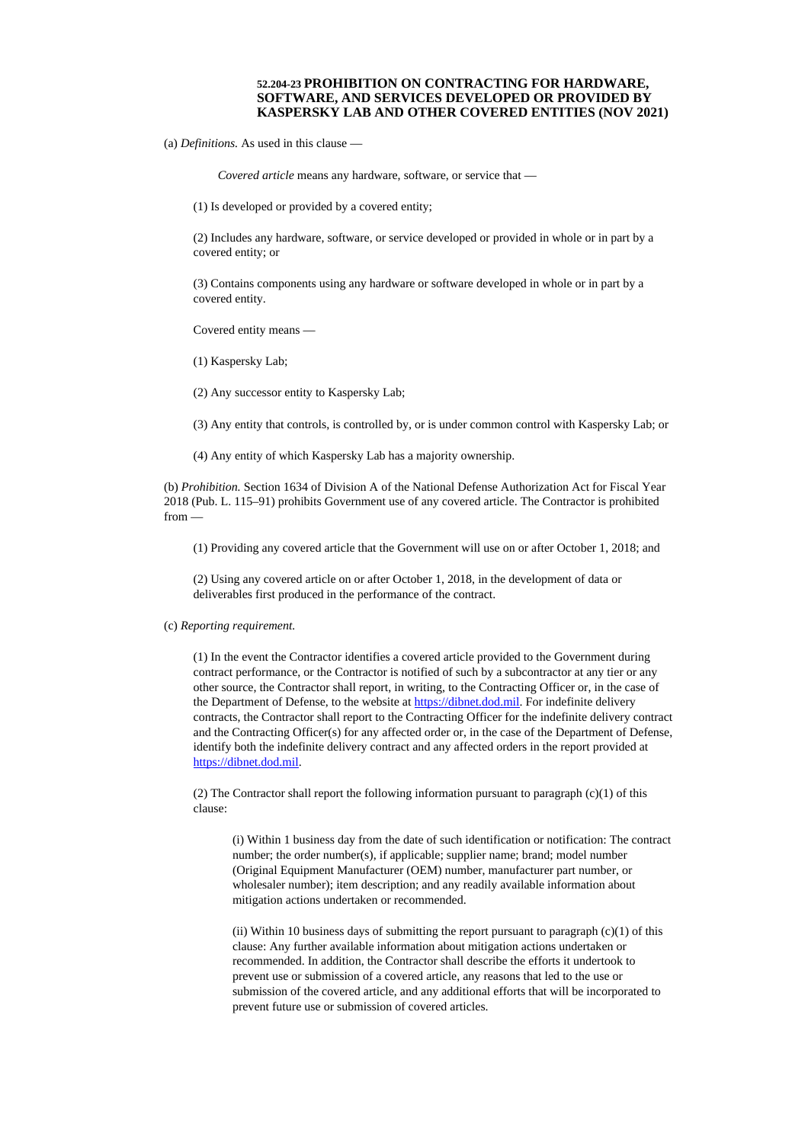## **52.204-23 PROHIBITION ON CONTRACTING FOR HARDWARE, SOFTWARE, AND SERVICES DEVELOPED OR PROVIDED BY KASPERSKY LAB AND OTHER COVERED ENTITIES (NOV 2021)**

(a) *Definitions.* As used in this clause —

*Covered article* means any hardware, software, or service that —

(1) Is developed or provided by a covered entity;

(2) Includes any hardware, software, or service developed or provided in whole or in part by a covered entity; or

(3) Contains components using any hardware or software developed in whole or in part by a covered entity.

Covered entity means —

(1) Kaspersky Lab;

(2) Any successor entity to Kaspersky Lab;

(3) Any entity that controls, is controlled by, or is under common control with Kaspersky Lab; or

(4) Any entity of which Kaspersky Lab has a majority ownership.

(b) *Prohibition.* Section 1634 of Division A of the National Defense Authorization Act for Fiscal Year 2018 (Pub. L. 115–91) prohibits Government use of any covered article. The Contractor is prohibited from —

(1) Providing any covered article that the Government will use on or after October 1, 2018; and

(2) Using any covered article on or after October 1, 2018, in the development of data or deliverables first produced in the performance of the contract.

## (c) *Reporting requirement.*

(1) In the event the Contractor identifies a covered article provided to the Government during contract performance, or the Contractor is notified of such by a subcontractor at any tier or any other source, the Contractor shall report, in writing, to the Contracting Officer or, in the case of the Department of Defense, to the website at **https://dibnet.dod.mil**. For indefinite delivery contracts, the Contractor shall report to the Contracting Officer for the indefinite delivery contract and the Contracting Officer(s) for any affected order or, in the case of the Department of Defense, identify both the indefinite delivery contract and any affected orders in the report provided at [https://dibnet.dod.mil.](https://dibnet.dod.mil/)

(2) The Contractor shall report the following information pursuant to paragraph (c)(1) of this clause:

(i) Within 1 business day from the date of such identification or notification: The contract number; the order number(s), if applicable; supplier name; brand; model number (Original Equipment Manufacturer (OEM) number, manufacturer part number, or wholesaler number); item description; and any readily available information about mitigation actions undertaken or recommended.

(ii) Within 10 business days of submitting the report pursuant to paragraph  $(c)(1)$  of this clause: Any further available information about mitigation actions undertaken or recommended. In addition, the Contractor shall describe the efforts it undertook to prevent use or submission of a covered article, any reasons that led to the use or submission of the covered article, and any additional efforts that will be incorporated to prevent future use or submission of covered articles.